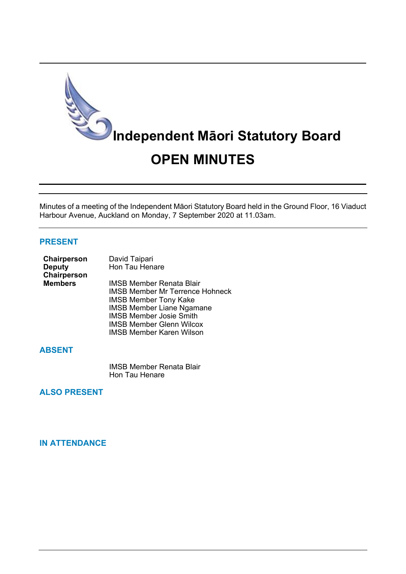

Minutes of a meeting of the Independent Māori Statutory Board held in the Ground Floor, 16 Viaduct Harbour Avenue, Auckland on Monday, 7 September 2020 at 11.03am.

## **PRESENT**

| <b>Chairperson</b> | David Taipari                          |
|--------------------|----------------------------------------|
| <b>Deputy</b>      | Hon Tau Henare                         |
| Chairperson        |                                        |
| <b>Members</b>     | IMSB Member Renata Blair               |
|                    | <b>IMSB Member Mr Terrence Hohneck</b> |
|                    | <b>IMSB Member Tony Kake</b>           |
|                    | <b>IMSB Member Liane Ngamane</b>       |
|                    | <b>IMSB Member Josie Smith</b>         |
|                    | <b>IMSB Member Glenn Wilcox</b>        |
|                    | <b>IMSB Member Karen Wilson</b>        |

# **ABSENT**

IMSB Member Renata Blair Hon Tau Henare

# **ALSO PRESENT**

## **IN ATTENDANCE**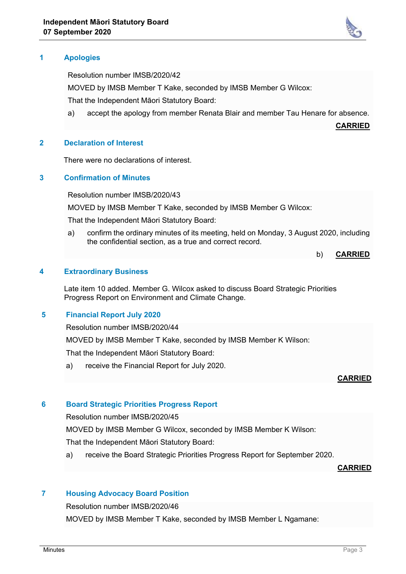

Resolution number IMSB/2020/42

MOVED by IMSB Member T Kake, seconded by IMSB Member G Wilcox:

That the Independent Māori Statutory Board:

a) accept the apology from member Renata Blair and member Tau Henare for absence.

**CARRIED**

## **2 Declaration of Interest**

There were no declarations of interest.

## **3 Confirmation of Minutes**

Resolution number IMSB/2020/43

MOVED by IMSB Member T Kake, seconded by IMSB Member G Wilcox:

That the Independent Māori Statutory Board:

a) confirm the ordinary minutes of its meeting, held on Monday, 3 August 2020, including the confidential section, as a true and correct record.

```
b) CARRIED
```
### **4 Extraordinary Business**

Late item 10 added. Member G. Wilcox asked to discuss Board Strategic Priorities Progress Report on Environment and Climate Change.

## **5 Financial Report July 2020**

Resolution number IMSB/2020/44

MOVED by IMSB Member T Kake, seconded by IMSB Member K Wilson:

That the Independent Māori Statutory Board:

a) receive the Financial Report for July 2020.

## **CARRIED**

### **6 Board Strategic Priorities Progress Report**

Resolution number IMSB/2020/45

MOVED by IMSB Member G Wilcox, seconded by IMSB Member K Wilson:

That the Independent Māori Statutory Board:

a) receive the Board Strategic Priorities Progress Report for September 2020.

#### **CARRIED**

## **7 Housing Advocacy Board Position**

Resolution number IMSB/2020/46

MOVED by IMSB Member T Kake, seconded by IMSB Member L Ngamane: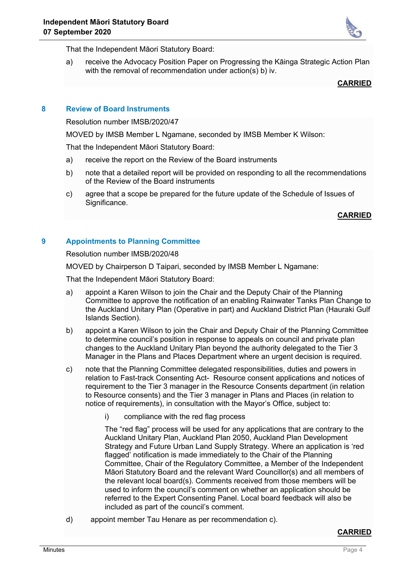

That the Independent Māori Statutory Board:

a) receive the Advocacy Position Paper on Progressing the Kāinga Strategic Action Plan with the removal of recommendation under action(s) b) iv.

## **CARRIED**

## **8 Review of Board Instruments**

Resolution number IMSB/2020/47

MOVED by IMSB Member L Ngamane, seconded by IMSB Member K Wilson:

That the Independent Māori Statutory Board:

- a) receive the report on the Review of the Board instruments
- b) note that a detailed report will be provided on responding to all the recommendations of the Review of the Board instruments
- c) agree that a scope be prepared for the future update of the Schedule of Issues of Significance.

### **CARRIED**

## **9 Appointments to Planning Committee**

Resolution number IMSB/2020/48

MOVED by Chairperson D Taipari, seconded by IMSB Member L Ngamane:

That the Independent Māori Statutory Board:

- a) appoint a Karen Wilson to join the Chair and the Deputy Chair of the Planning Committee to approve the notification of an enabling Rainwater Tanks Plan Change to the Auckland Unitary Plan (Operative in part) and Auckland District Plan (Hauraki Gulf Islands Section).
- b) appoint a Karen Wilson to join the Chair and Deputy Chair of the Planning Committee to determine council's position in response to appeals on council and private plan changes to the Auckland Unitary Plan beyond the authority delegated to the Tier 3 Manager in the Plans and Places Department where an urgent decision is required.
- c) note that the Planning Committee delegated responsibilities, duties and powers in relation to Fast-track Consenting Act- Resource consent applications and notices of requirement to the Tier 3 manager in the Resource Consents department (in relation to Resource consents) and the Tier 3 manager in Plans and Places (in relation to notice of requirements), in consultation with the Mayor's Office, subject to:
	- i) compliance with the red flag process

The "red flag" process will be used for any applications that are contrary to the Auckland Unitary Plan, Auckland Plan 2050, Auckland Plan Development Strategy and Future Urban Land Supply Strategy. Where an application is 'red flagged' notification is made immediately to the Chair of the Planning Committee, Chair of the Regulatory Committee, a Member of the Independent Māori Statutory Board and the relevant Ward Councillor(s) and all members of the relevant local board(s). Comments received from those members will be used to inform the council's comment on whether an application should be referred to the Expert Consenting Panel. Local board feedback will also be included as part of the council's comment.

d) appoint member Tau Henare as per recommendation c).

### **CARRIED**